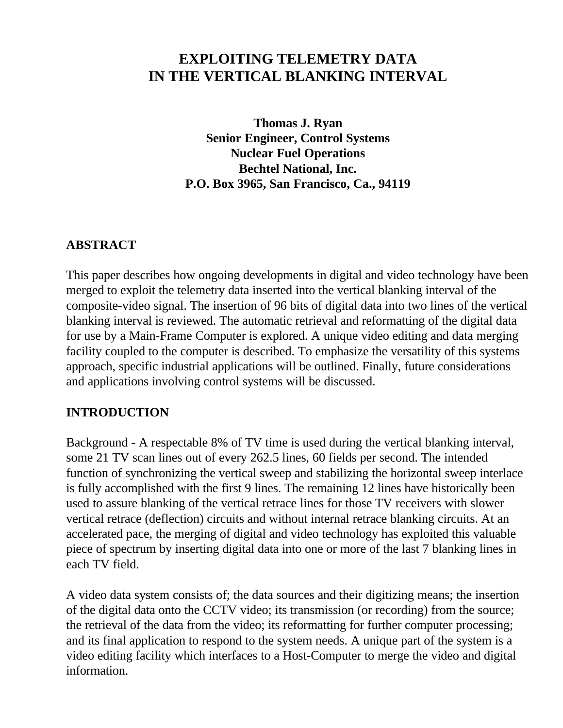# **EXPLOITING TELEMETRY DATA IN THE VERTICAL BLANKING INTERVAL**

**Thomas J. Ryan Senior Engineer, Control Systems Nuclear Fuel Operations Bechtel National, Inc. P.O. Box 3965, San Francisco, Ca., 94119**

### **ABSTRACT**

This paper describes how ongoing developments in digital and video technology have been merged to exploit the telemetry data inserted into the vertical blanking interval of the composite-video signal. The insertion of 96 bits of digital data into two lines of the vertical blanking interval is reviewed. The automatic retrieval and reformatting of the digital data for use by a Main-Frame Computer is explored. A unique video editing and data merging facility coupled to the computer is described. To emphasize the versatility of this systems approach, specific industrial applications will be outlined. Finally, future considerations and applications involving control systems will be discussed.

#### **INTRODUCTION**

Background - A respectable 8% of TV time is used during the vertical blanking interval, some 21 TV scan lines out of every 262.5 lines, 60 fields per second. The intended function of synchronizing the vertical sweep and stabilizing the horizontal sweep interlace is fully accomplished with the first 9 lines. The remaining 12 lines have historically been used to assure blanking of the vertical retrace lines for those TV receivers with slower vertical retrace (deflection) circuits and without internal retrace blanking circuits. At an accelerated pace, the merging of digital and video technology has exploited this valuable piece of spectrum by inserting digital data into one or more of the last 7 blanking lines in each TV field.

A video data system consists of; the data sources and their digitizing means; the insertion of the digital data onto the CCTV video; its transmission (or recording) from the source; the retrieval of the data from the video; its reformatting for further computer processing; and its final application to respond to the system needs. A unique part of the system is a video editing facility which interfaces to a Host-Computer to merge the video and digital information.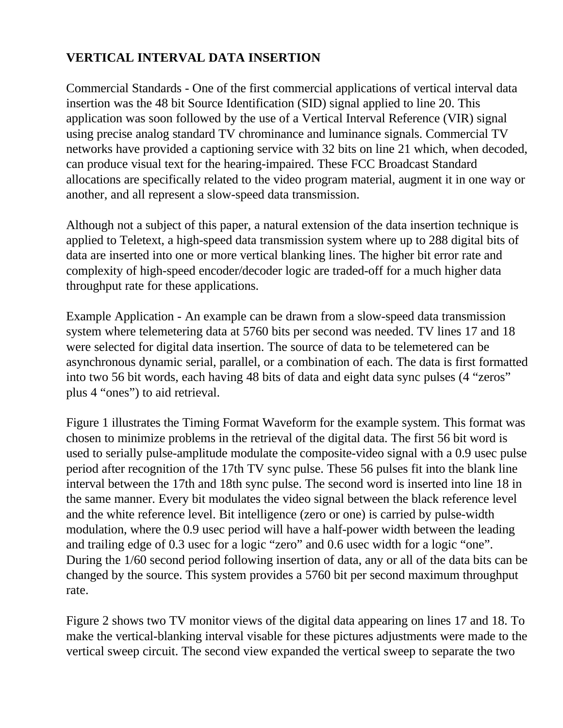# **VERTICAL INTERVAL DATA INSERTION**

Commercial Standards - One of the first commercial applications of vertical interval data insertion was the 48 bit Source Identification (SID) signal applied to line 20. This application was soon followed by the use of a Vertical Interval Reference (VIR) signal using precise analog standard TV chrominance and luminance signals. Commercial TV networks have provided a captioning service with 32 bits on line 21 which, when decoded, can produce visual text for the hearing-impaired. These FCC Broadcast Standard allocations are specifically related to the video program material, augment it in one way or another, and all represent a slow-speed data transmission.

Although not a subject of this paper, a natural extension of the data insertion technique is applied to Teletext, a high-speed data transmission system where up to 288 digital bits of data are inserted into one or more vertical blanking lines. The higher bit error rate and complexity of high-speed encoder/decoder logic are traded-off for a much higher data throughput rate for these applications.

Example Application - An example can be drawn from a slow-speed data transmission system where telemetering data at 5760 bits per second was needed. TV lines 17 and 18 were selected for digital data insertion. The source of data to be telemetered can be asynchronous dynamic serial, parallel, or a combination of each. The data is first formatted into two 56 bit words, each having 48 bits of data and eight data sync pulses (4 "zeros" plus 4 "ones") to aid retrieval.

Figure 1 illustrates the Timing Format Waveform for the example system. This format was chosen to minimize problems in the retrieval of the digital data. The first 56 bit word is used to serially pulse-amplitude modulate the composite-video signal with a 0.9 usec pulse period after recognition of the 17th TV sync pulse. These 56 pulses fit into the blank line interval between the 17th and 18th sync pulse. The second word is inserted into line 18 in the same manner. Every bit modulates the video signal between the black reference level and the white reference level. Bit intelligence (zero or one) is carried by pulse-width modulation, where the 0.9 usec period will have a half-power width between the leading and trailing edge of 0.3 usec for a logic "zero" and 0.6 usec width for a logic "one". During the 1/60 second period following insertion of data, any or all of the data bits can be changed by the source. This system provides a 5760 bit per second maximum throughput rate.

Figure 2 shows two TV monitor views of the digital data appearing on lines 17 and 18. To make the vertical-blanking interval visable for these pictures adjustments were made to the vertical sweep circuit. The second view expanded the vertical sweep to separate the two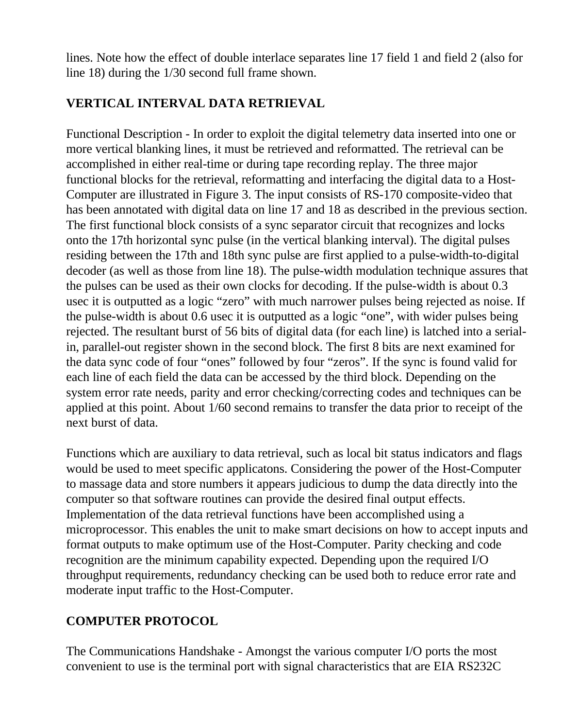lines. Note how the effect of double interlace separates line 17 field 1 and field 2 (also for line 18) during the 1/30 second full frame shown.

### **VERTICAL INTERVAL DATA RETRIEVAL**

Functional Description - In order to exploit the digital telemetry data inserted into one or more vertical blanking lines, it must be retrieved and reformatted. The retrieval can be accomplished in either real-time or during tape recording replay. The three major functional blocks for the retrieval, reformatting and interfacing the digital data to a Host-Computer are illustrated in Figure 3. The input consists of RS-170 composite-video that has been annotated with digital data on line 17 and 18 as described in the previous section. The first functional block consists of a sync separator circuit that recognizes and locks onto the 17th horizontal sync pulse (in the vertical blanking interval). The digital pulses residing between the 17th and 18th sync pulse are first applied to a pulse-width-to-digital decoder (as well as those from line 18). The pulse-width modulation technique assures that the pulses can be used as their own clocks for decoding. If the pulse-width is about 0.3 usec it is outputted as a logic "zero" with much narrower pulses being rejected as noise. If the pulse-width is about 0.6 usec it is outputted as a logic "one", with wider pulses being rejected. The resultant burst of 56 bits of digital data (for each line) is latched into a serialin, parallel-out register shown in the second block. The first 8 bits are next examined for the data sync code of four "ones" followed by four "zeros". If the sync is found valid for each line of each field the data can be accessed by the third block. Depending on the system error rate needs, parity and error checking/correcting codes and techniques can be applied at this point. About 1/60 second remains to transfer the data prior to receipt of the next burst of data.

Functions which are auxiliary to data retrieval, such as local bit status indicators and flags would be used to meet specific applicatons. Considering the power of the Host-Computer to massage data and store numbers it appears judicious to dump the data directly into the computer so that software routines can provide the desired final output effects. Implementation of the data retrieval functions have been accomplished using a microprocessor. This enables the unit to make smart decisions on how to accept inputs and format outputs to make optimum use of the Host-Computer. Parity checking and code recognition are the minimum capability expected. Depending upon the required I/O throughput requirements, redundancy checking can be used both to reduce error rate and moderate input traffic to the Host-Computer.

# **COMPUTER PROTOCOL**

The Communications Handshake - Amongst the various computer I/O ports the most convenient to use is the terminal port with signal characteristics that are EIA RS232C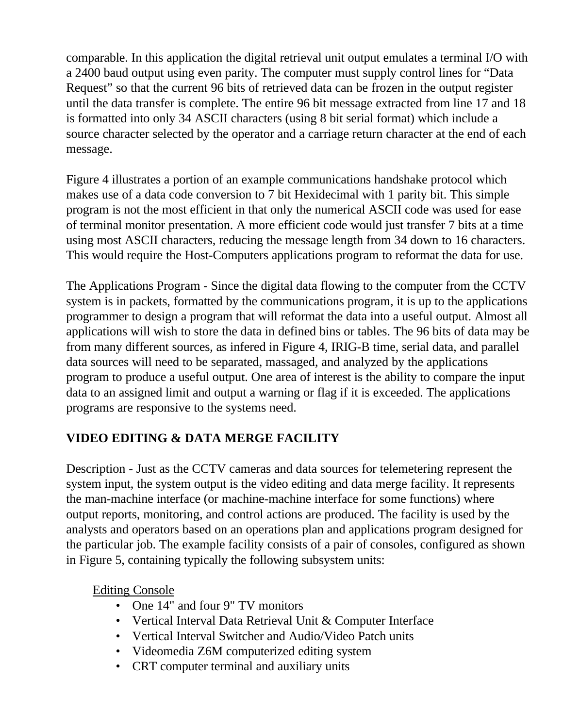comparable. In this application the digital retrieval unit output emulates a terminal I/O with a 2400 baud output using even parity. The computer must supply control lines for "Data Request" so that the current 96 bits of retrieved data can be frozen in the output register until the data transfer is complete. The entire 96 bit message extracted from line 17 and 18 is formatted into only 34 ASCII characters (using 8 bit serial format) which include a source character selected by the operator and a carriage return character at the end of each message.

Figure 4 illustrates a portion of an example communications handshake protocol which makes use of a data code conversion to 7 bit Hexidecimal with 1 parity bit. This simple program is not the most efficient in that only the numerical ASCII code was used for ease of terminal monitor presentation. A more efficient code would just transfer 7 bits at a time using most ASCII characters, reducing the message length from 34 down to 16 characters. This would require the Host-Computers applications program to reformat the data for use.

The Applications Program - Since the digital data flowing to the computer from the CCTV system is in packets, formatted by the communications program, it is up to the applications programmer to design a program that will reformat the data into a useful output. Almost all applications will wish to store the data in defined bins or tables. The 96 bits of data may be from many different sources, as infered in Figure 4, IRIG-B time, serial data, and parallel data sources will need to be separated, massaged, and analyzed by the applications program to produce a useful output. One area of interest is the ability to compare the input data to an assigned limit and output a warning or flag if it is exceeded. The applications programs are responsive to the systems need.

# **VIDEO EDITING & DATA MERGE FACILITY**

Description - Just as the CCTV cameras and data sources for telemetering represent the system input, the system output is the video editing and data merge facility. It represents the man-machine interface (or machine-machine interface for some functions) where output reports, monitoring, and control actions are produced. The facility is used by the analysts and operators based on an operations plan and applications program designed for the particular job. The example facility consists of a pair of consoles, configured as shown in Figure 5, containing typically the following subsystem units:

Editing Console

- One 14" and four 9" TV monitors
- Vertical Interval Data Retrieval Unit & Computer Interface
- Vertical Interval Switcher and Audio/Video Patch units
- Videomedia Z6M computerized editing system
- CRT computer terminal and auxiliary units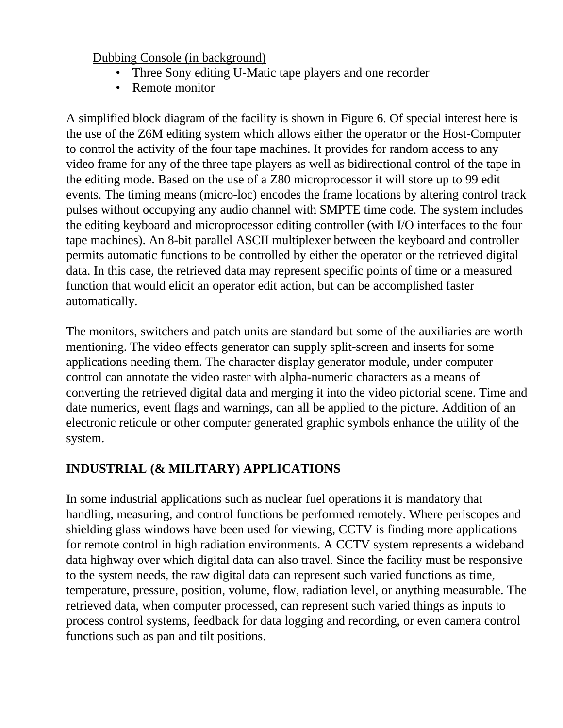### Dubbing Console (in background)

- Three Sony editing U-Matic tape players and one recorder
- Remote monitor

A simplified block diagram of the facility is shown in Figure 6. Of special interest here is the use of the Z6M editing system which allows either the operator or the Host-Computer to control the activity of the four tape machines. It provides for random access to any video frame for any of the three tape players as well as bidirectional control of the tape in the editing mode. Based on the use of a Z80 microprocessor it will store up to 99 edit events. The timing means (micro-loc) encodes the frame locations by altering control track pulses without occupying any audio channel with SMPTE time code. The system includes the editing keyboard and microprocessor editing controller (with I/O interfaces to the four tape machines). An 8-bit parallel ASCII multiplexer between the keyboard and controller permits automatic functions to be controlled by either the operator or the retrieved digital data. In this case, the retrieved data may represent specific points of time or a measured function that would elicit an operator edit action, but can be accomplished faster automatically.

The monitors, switchers and patch units are standard but some of the auxiliaries are worth mentioning. The video effects generator can supply split-screen and inserts for some applications needing them. The character display generator module, under computer control can annotate the video raster with alpha-numeric characters as a means of converting the retrieved digital data and merging it into the video pictorial scene. Time and date numerics, event flags and warnings, can all be applied to the picture. Addition of an electronic reticule or other computer generated graphic symbols enhance the utility of the system.

# **INDUSTRIAL (& MILITARY) APPLICATIONS**

In some industrial applications such as nuclear fuel operations it is mandatory that handling, measuring, and control functions be performed remotely. Where periscopes and shielding glass windows have been used for viewing, CCTV is finding more applications for remote control in high radiation environments. A CCTV system represents a wideband data highway over which digital data can also travel. Since the facility must be responsive to the system needs, the raw digital data can represent such varied functions as time, temperature, pressure, position, volume, flow, radiation level, or anything measurable. The retrieved data, when computer processed, can represent such varied things as inputs to process control systems, feedback for data logging and recording, or even camera control functions such as pan and tilt positions.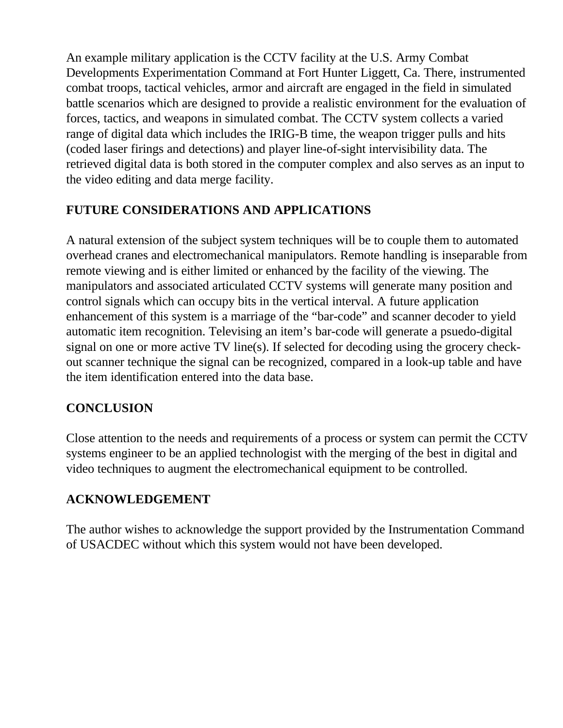An example military application is the CCTV facility at the U.S. Army Combat Developments Experimentation Command at Fort Hunter Liggett, Ca. There, instrumented combat troops, tactical vehicles, armor and aircraft are engaged in the field in simulated battle scenarios which are designed to provide a realistic environment for the evaluation of forces, tactics, and weapons in simulated combat. The CCTV system collects a varied range of digital data which includes the IRIG-B time, the weapon trigger pulls and hits (coded laser firings and detections) and player line-of-sight intervisibility data. The retrieved digital data is both stored in the computer complex and also serves as an input to the video editing and data merge facility.

### **FUTURE CONSIDERATIONS AND APPLICATIONS**

A natural extension of the subject system techniques will be to couple them to automated overhead cranes and electromechanical manipulators. Remote handling is inseparable from remote viewing and is either limited or enhanced by the facility of the viewing. The manipulators and associated articulated CCTV systems will generate many position and control signals which can occupy bits in the vertical interval. A future application enhancement of this system is a marriage of the "bar-code" and scanner decoder to yield automatic item recognition. Televising an item's bar-code will generate a psuedo-digital signal on one or more active TV line(s). If selected for decoding using the grocery checkout scanner technique the signal can be recognized, compared in a look-up table and have the item identification entered into the data base.

# **CONCLUSION**

Close attention to the needs and requirements of a process or system can permit the CCTV systems engineer to be an applied technologist with the merging of the best in digital and video techniques to augment the electromechanical equipment to be controlled.

### **ACKNOWLEDGEMENT**

The author wishes to acknowledge the support provided by the Instrumentation Command of USACDEC without which this system would not have been developed.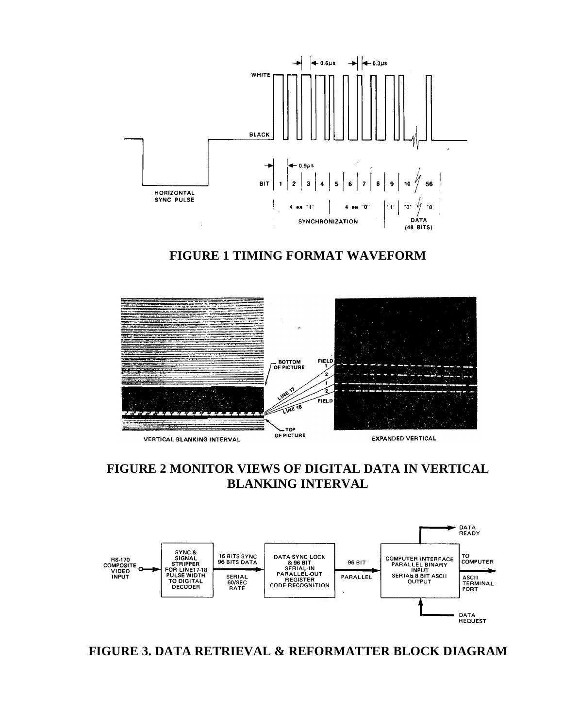

**FIGURE 1 TIMING FORMAT WAVEFORM**



### **FIGURE 2 MONITOR VIEWS OF DIGITAL DATA IN VERTICAL BLANKING INTERVAL**



**FIGURE 3. DATA RETRIEVAL & REFORMATTER BLOCK DIAGRAM**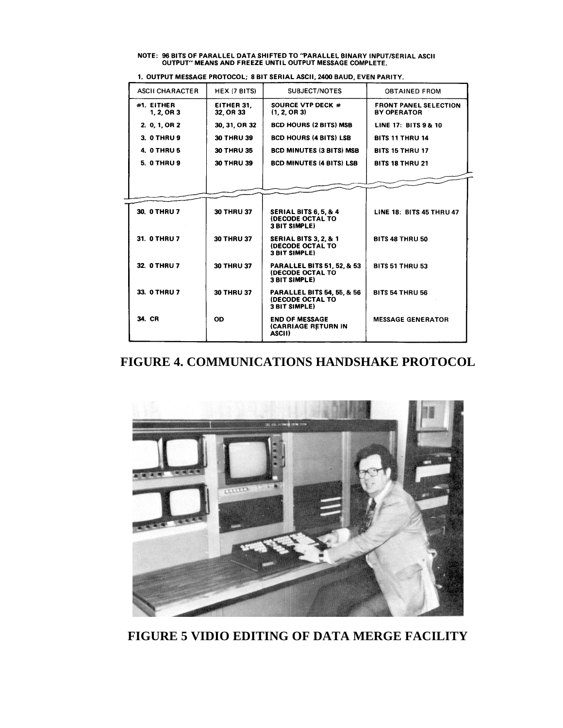# NOTE: 96 BITS OF PARALLEL DATA SHIFTED TO "PARALLEL BINARY INPUT/SERIAL ASCII<br>OUTPUT" MEANS AND FREEZE UNTIL OUTPUT MESSAGE COMPLETE.

| <b>ASCH CHARACTER</b>    | HEX (7 BITS)            | SUBJECT/NOTES                                                                            | <b>OBTAINED FROM</b>                               |
|--------------------------|-------------------------|------------------------------------------------------------------------------------------|----------------------------------------------------|
| #1. EITHER<br>1, 2, OR 3 | EITHER 31.<br>32. OR 33 | <b>SOURCE VTP DECK #</b><br>(1, 2, OR 3)                                                 | <b>FRONT PANEL SELECTION</b><br><b>BY OPERATOR</b> |
| 2. 0. 1. OR 2            | 30, 31, OR 32           | <b>BCD HOURS (2 BITS) MSB</b>                                                            | LINE 17: BITS 9 & 10                               |
| 3. 0 THRU 9              | 30 THRU 39              | <b>BCD HOURS (4 BITS) LSB</b>                                                            | <b>BITS 11 THRU 14</b>                             |
| 4. 0 THRU 5              | 30 THRU 35              | <b>BCD MINUTES (3 BITS) MSB</b>                                                          | <b>BITS 15 THRU 17</b>                             |
| <b>5. 0 THRU 9</b>       | <b>30 THRU 39</b>       | <b>BCD MINUTES (4 BITS) LSB</b>                                                          | <b>BITS 18 THRU 21</b>                             |
|                          |                         |                                                                                          |                                                    |
|                          |                         |                                                                                          |                                                    |
|                          |                         |                                                                                          |                                                    |
| 30. 0 THRU 7             | 30 THRU 37              | <b>SERIAL BITS 6, 5, &amp; 4</b><br><b>(DECODE OCTAL TO</b><br><b>3 BIT SIMPLE)</b>      | <b>LINE 18: BITS 45 THRU 47</b>                    |
| 31. 0 THRU 7             | <b>30 THRU 37</b>       | <b>SERIAL BITS 3, 2, &amp; 1</b><br><b>(DECODE OCTAL TO</b><br><b>3 BIT SIMPLE)</b>      | <b>BITS 48 THRU 50</b>                             |
| 32. 0 THRU 7             | <b>30 THRU 37</b>       | <b>PARALLEL BITS 51, 52, &amp; 53</b><br><b>(DECODE OCTAL TO</b><br><b>3 BIT SIMPLE)</b> | <b>BITS 51 THRU 53</b>                             |
| 33. 0 THRU 7             | <b>30 THRU 37</b>       | <b>PARALLEL BITS 54, 55, &amp; 56</b><br><b>(DECODE OCTAL TO</b><br><b>3 BIT SIMPLE)</b> | <b>BITS 54 THRU 56</b>                             |
| 34. CR                   | <b>OD</b>               | <b>END OF MESSAGE</b><br>(CARRIAGE RETURN IN<br>ASCII)                                   | <b>MESSAGE GENERATOR</b>                           |

1. OUTPUT MESSAGE PROTOCOL; 8 BIT SERIAL ASCII, 2400 BAUD, EVEN PARITY.

### **FIGURE 4. COMMUNICATIONS HANDSHAKE PROTOCOL**



**FIGURE 5 VIDIO EDITING OF DATA MERGE FACILITY**